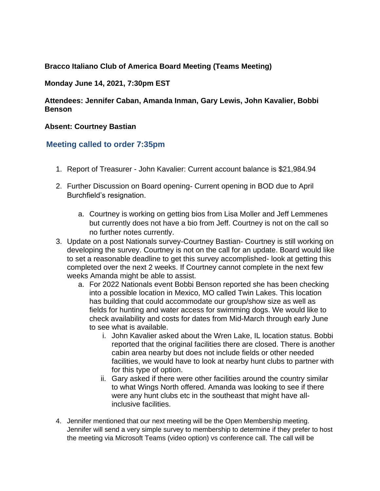## **Bracco Italiano Club of America Board Meeting (Teams Meeting)**

## **Monday June 14, 2021, 7:30pm EST**

**Attendees: Jennifer Caban, Amanda Inman, Gary Lewis, John Kavalier, Bobbi Benson**

## **Absent: Courtney Bastian**

## **Meeting called to order 7:35pm**

- 1. Report of Treasurer John Kavalier: Current account balance is \$21,984.94
- 2. Further Discussion on Board opening- Current opening in BOD due to April Burchfield's resignation.
	- a. Courtney is working on getting bios from Lisa Moller and Jeff Lemmenes but currently does not have a bio from Jeff. Courtney is not on the call so no further notes currently.
- 3. Update on a post Nationals survey-Courtney Bastian- Courtney is still working on developing the survey. Courtney is not on the call for an update. Board would like to set a reasonable deadline to get this survey accomplished- look at getting this completed over the next 2 weeks. If Courtney cannot complete in the next few weeks Amanda might be able to assist.
	- a. For 2022 Nationals event Bobbi Benson reported she has been checking into a possible location in Mexico, MO called Twin Lakes. This location has building that could accommodate our group/show size as well as fields for hunting and water access for swimming dogs. We would like to check availability and costs for dates from Mid-March through early June to see what is available.
		- i. John Kavalier asked about the Wren Lake, IL location status. Bobbi reported that the original facilities there are closed. There is another cabin area nearby but does not include fields or other needed facilities, we would have to look at nearby hunt clubs to partner with for this type of option.
		- ii. Gary asked if there were other facilities around the country similar to what Wings North offered. Amanda was looking to see if there were any hunt clubs etc in the southeast that might have allinclusive facilities.
- 4. Jennifer mentioned that our next meeting will be the Open Membership meeting. Jennifer will send a very simple survey to membership to determine if they prefer to host the meeting via Microsoft Teams (video option) vs conference call. The call will be